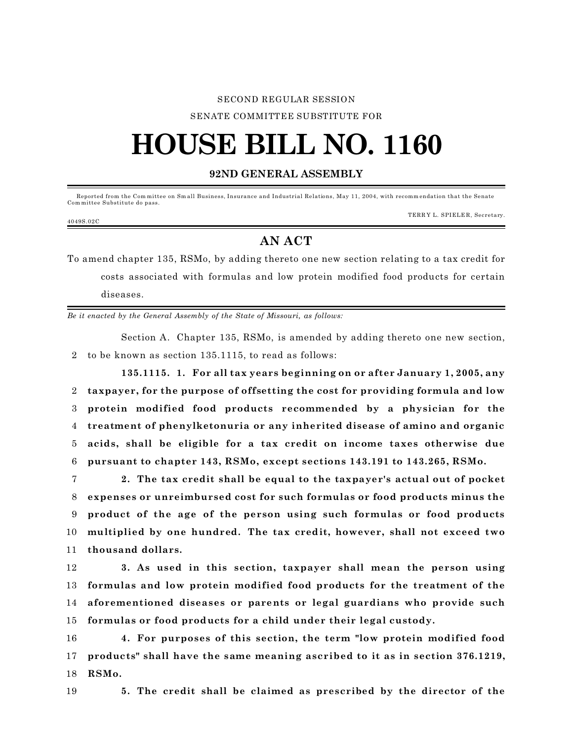#### SECOND REGULAR SESSION

SENATE COMMITTEE SUBSTITUTE FOR

# **HOUSE BILL NO. 1160**

### **92ND GENERAL ASSEMBLY**

 Reported from the Com mittee on Sm all Business, Insurance and Industrial Relations, May 11, 2004, with recomm endation that the Senate Com mittee Substitute do pass.

#### 4049S.02C

TERR Y L. SPIELE R, Secretary.

## **AN ACT**

To amend chapter 135, RSMo, by adding thereto one new section relating to a tax credit for costs associated with formulas and low protein modified food products for certain diseases.

*Be it enacted by the General Assembly of the State of Missouri, as follows:*

Section A. Chapter 135, RSMo, is amended by adding thereto one new section, 2 to be known as section 135.1115, to read as follows:

**135.1115. 1. For all tax years beginning on or after January 1, 2005, any taxpayer, for the purpose of offsetting the cost for providing formula and low protein modified food products recommended by a physician for the treatment of phenylketonuria or any inherited disease of amino and organic acids, shall be eligible for a tax credit on income taxes otherwise due pursuant to chapter 143, RSMo, except sections 143.191 to 143.265, RSMo.**

 **2. The tax credit shall be equal to the taxpayer's actual out of pocket expenses or unreimbursed cost for such formulas or food products minus the product of the age of the person using such formulas or food products multiplied by one hundred. The tax credit, however, shall not exceed two thousand dollars.**

 **3. As used in this section, taxpayer shall mean the person using formulas and low protein modified food products for the treatment of the aforementioned diseases or parents or legal guardians who provide such formulas or food products for a child under their legal custody.**

16 **4. For purposes of this section, the term "low protein modified food** 17 **products" shall have the same meaning ascribed to it as in section 376.1219,** 18 **RSMo.**

19 **5. The credit shall be claimed as prescribed by the director of the**